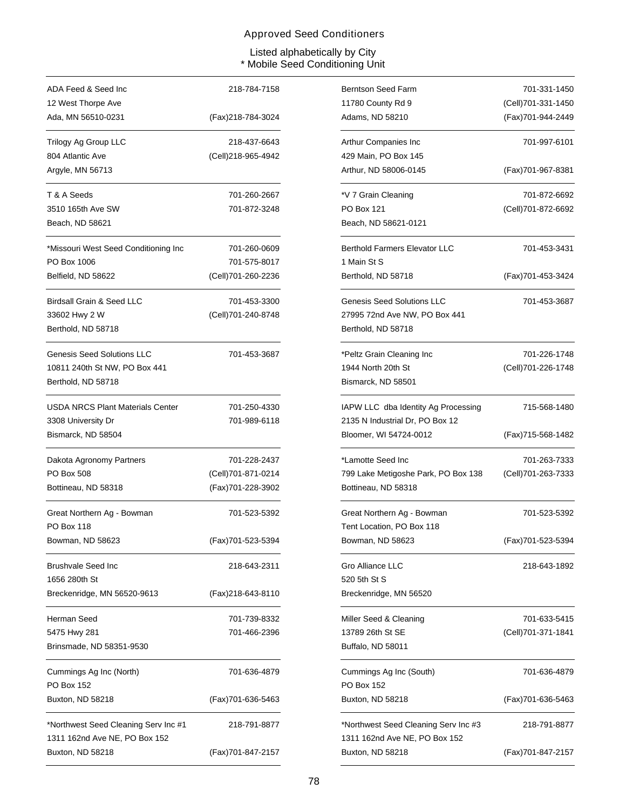| ADA Feed & Seed Inc                     | 218-784-7158       |
|-----------------------------------------|--------------------|
| 12 West Thorpe Ave                      |                    |
| Ada, MN 56510-0231                      | (Fax)218-784-3024  |
| Trilogy Ag Group LLC                    | 218-437-6643       |
| 804 Atlantic Ave                        | (Cell)218-965-4942 |
| Argyle, MN 56713                        |                    |
| T & A Seeds                             | 701-260-2667       |
| 3510 165th Ave SW                       | 701-872-3248       |
| Beach, ND 58621                         |                    |
| *Missouri West Seed Conditioning Inc    | 701-260-0609       |
| PO Box 1006                             | 701-575-8017       |
| Belfield, ND 58622                      | (Cell)701-260-2236 |
| Birdsall Grain & Seed LLC               | 701-453-3300       |
| 33602 Hwy 2 W                           | (Cell)701-240-8748 |
| Berthold, ND 58718                      |                    |
| <b>Genesis Seed Solutions LLC</b>       | 701-453-3687       |
| 10811 240th St NW, PO Box 441           |                    |
| Berthold, ND 58718                      |                    |
| <b>USDA NRCS Plant Materials Center</b> | 701-250-4330       |
| 3308 University Dr                      | 701-989-6118       |
| Bismarck, ND 58504                      |                    |
| Dakota Agronomy Partners                | 701-228-2437       |
| PO Box 508                              | (Cell)701-871-0214 |
| Bottineau, ND 58318                     | (Fax)701-228-3902  |
| Great Northern Ag - Bowman              | 701-523-5392       |
| PO Box 118                              |                    |
| Bowman, ND 58623                        | (Fax)701-523-5394  |
| <b>Brushvale Seed Inc</b>               | 218-643-2311       |
| 1656 280th St                           |                    |
| Breckenridge, MN 56520-9613             | (Fax)218-643-8110  |
| Herman Seed                             | 701-739-8332       |
| 5475 Hwy 281                            | 701-466-2396       |
| Brinsmade, ND 58351-9530                |                    |
| Cummings Ag Inc (North)                 | 701-636-4879       |
| PO Box 152                              |                    |
| Buxton, ND 58218                        | (Fax)701-636-5463  |
| *Northwest Seed Cleaning Serv Inc #1    | 218-791-8877       |
| 1311 162nd Ave NE, PO Box 152           |                    |
| Buxton, ND 58218                        | (Fax)701-847-2157  |

| 218-784-7158 | <b>Berntson Seed Farm</b>            | 701-331-1450        |
|--------------|--------------------------------------|---------------------|
|              | 11780 County Rd 9                    | (Cell) 701-331-1450 |
| 218-784-3024 | Adams, ND 58210                      | (Fax)701-944-2449   |
| 218-437-6643 | Arthur Companies Inc.                | 701-997-6101        |
| 218-965-4942 | 429 Main, PO Box 145                 |                     |
|              | Arthur, ND 58006-0145                | (Fax)701-967-8381   |
| 701-260-2667 | *V 7 Grain Cleaning                  | 701-872-6692        |
| 701-872-3248 | <b>PO Box 121</b>                    | (Cell)701-872-6692  |
|              | Beach, ND 58621-0121                 |                     |
| 701-260-0609 | <b>Berthold Farmers Elevator LLC</b> | 701-453-3431        |
| 701-575-8017 | 1 Main St S                          |                     |
| 701-260-2236 | Berthold, ND 58718                   | (Fax)701-453-3424   |
| 701-453-3300 | <b>Genesis Seed Solutions LLC</b>    | 701-453-3687        |
| 701-240-8748 | 27995 72nd Ave NW, PO Box 441        |                     |
|              | Berthold, ND 58718                   |                     |
| 701-453-3687 | *Peltz Grain Cleaning Inc            | 701-226-1748        |
|              | 1944 North 20th St                   | (Cell) 701-226-1748 |
|              | Bismarck, ND 58501                   |                     |
| 701-250-4330 | IAPW LLC dba Identity Ag Processing  | 715-568-1480        |
| 701-989-6118 | 2135 N Industrial Dr, PO Box 12      |                     |
|              | Bloomer, WI 54724-0012               | (Fax)715-568-1482   |
| 701-228-2437 | *Lamotte Seed Inc                    | 701-263-7333        |
| 701-871-0214 | 799 Lake Metigoshe Park, PO Box 138  | (Cell)701-263-7333  |
| 701-228-3902 | Bottineau, ND 58318                  |                     |
| 701-523-5392 | Great Northern Ag - Bowman           | 701-523-5392        |
|              | Tent Location, PO Box 118            |                     |
| 701-523-5394 | Bowman, ND 58623                     | (Fax)701-523-5394   |
| 218-643-2311 | <b>Gro Alliance LLC</b>              | 218-643-1892        |
|              | 520 5th St S                         |                     |
| 218-643-8110 | Breckenridge, MN 56520               |                     |
| 701-739-8332 | Miller Seed & Cleaning               | 701-633-5415        |
| 701-466-2396 | 13789 26th St SE                     | (Cell)701-371-1841  |
|              | Buffalo, ND 58011                    |                     |
| 701-636-4879 | Cummings Ag Inc (South)              | 701-636-4879        |
|              | PO Box 152                           |                     |
| 701-636-5463 | Buxton, ND 58218                     | (Fax)701-636-5463   |
| 218-791-8877 | *Northwest Seed Cleaning Serv Inc #3 | 218-791-8877        |
|              | 1311 162nd Ave NE, PO Box 152        |                     |
| 701-847-2157 | Buxton, ND 58218                     | (Fax)701-847-2157   |
|              |                                      |                     |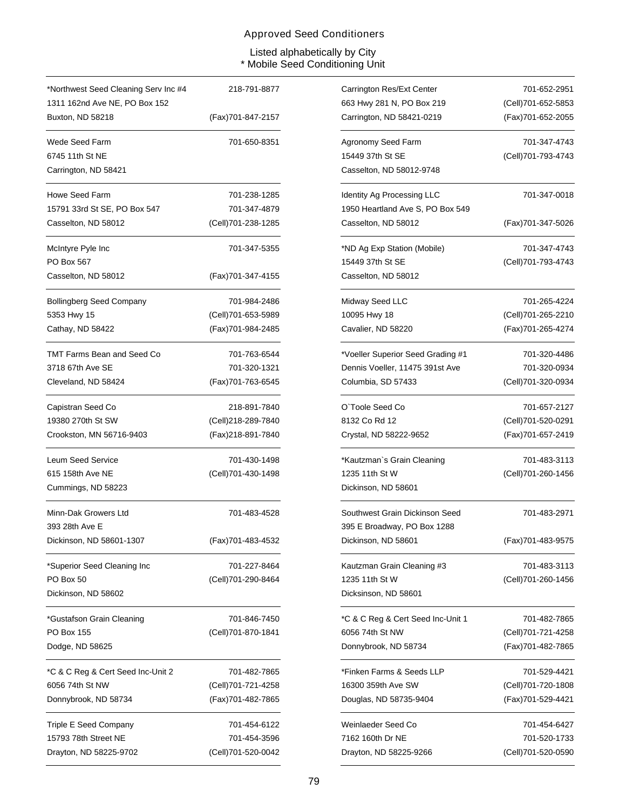| *Northwest Seed Cleaning Serv Inc #4 | 218-791-8877        |
|--------------------------------------|---------------------|
| 1311 162nd Ave NE, PO Box 152        |                     |
| Buxton, ND 58218                     | (Fax)701-847-2157   |
| Wede Seed Farm                       | 701-650-8351        |
| 6745 11th St NE                      |                     |
| Carrington, ND 58421                 |                     |
| Howe Seed Farm                       | 701-238-1285        |
| 15791 33rd St SE, PO Box 547         | 701-347-4879        |
| Casselton, ND 58012                  | (Cell)701-238-1285  |
| McIntyre Pyle Inc                    | 701-347-5355        |
| PO Box 567                           |                     |
| Casselton, ND 58012                  | (Fax)701-347-4155   |
| Bollingberg Seed Company             | 701-984-2486        |
| 5353 Hwy 15                          | (Cell)701-653-5989  |
| Cathay, ND 58422                     | (Fax) 701-984-2485  |
| TMT Farms Bean and Seed Co           | 701-763-6544        |
| 3718 67th Ave SE                     | 701-320-1321        |
| Cleveland, ND 58424                  | (Fax) 701-763-6545  |
| Capistran Seed Co                    | 218-891-7840        |
| 19380 270th St SW                    | (Cell)218-289-7840  |
| Crookston, MN 56716-9403             | (Fax)218-891-7840   |
| Leum Seed Service                    | 701-430-1498        |
| 615 158th Ave NE                     | (Cell) 701-430-1498 |
| Cummings, ND 58223                   |                     |
| Minn-Dak Growers Ltd                 | 701-483-4528        |
| 393 28th Ave E                       |                     |
| Dickinson, ND 58601-1307             | (Fax)701-483-4532   |
| *Superior Seed Cleaning Inc          | 701-227-8464        |
| PO Box 50                            | (Cell)701-290-8464  |
| Dickinson, ND 58602                  |                     |
| *Gustafson Grain Cleaning            | 701-846-7450        |
| PO Box 155                           | (Cell)701-870-1841  |
| Dodge, ND 58625                      |                     |
| *C & C Reg & Cert Seed Inc-Unit 2    | 701-482-7865        |
| 6056 74th St NW                      | (Cell)701-721-4258  |
| Donnybrook, ND 58734                 | (Fax)701-482-7865   |
| Triple E Seed Company                | 701-454-6122        |
| 15793 78th Street NE                 | 701-454-3596        |
| Drayton, ND 58225-9702               | (Cell)701-520-0042  |

| 218-791-8877 | Carrington Res/Ext Center         | 701-652-2951       |
|--------------|-----------------------------------|--------------------|
|              | 663 Hwy 281 N, PO Box 219         | (Cell)701-652-5853 |
| 701-847-2157 | Carrington, ND 58421-0219         | (Fax) 701-652-2055 |
| 701-650-8351 | Agronomy Seed Farm                | 701-347-4743       |
|              | 15449 37th St SE                  | (Cell)701-793-4743 |
|              | Casselton, ND 58012-9748          |                    |
| 701-238-1285 | Identity Ag Processing LLC        | 701-347-0018       |
| 701-347-4879 | 1950 Heartland Ave S, PO Box 549  |                    |
| 701-238-1285 | Casselton, ND 58012               | (Fax)701-347-5026  |
| 701-347-5355 | *ND Ag Exp Station (Mobile)       | 701-347-4743       |
|              | 15449 37th St SE                  | (Cell)701-793-4743 |
| 701-347-4155 | Casselton, ND 58012               |                    |
| 701-984-2486 | Midway Seed LLC                   | 701-265-4224       |
| 701-653-5989 | 10095 Hwy 18                      | (Cell)701-265-2210 |
| 701-984-2485 | Cavalier, ND 58220                | (Fax) 701-265-4274 |
| 701-763-6544 | *Voeller Superior Seed Grading #1 | 701-320-4486       |
| 701-320-1321 | Dennis Voeller, 11475 391st Ave   | 701-320-0934       |
| 701-763-6545 | Columbia, SD 57433                | (Cell)701-320-0934 |
| 218-891-7840 | O'Toole Seed Co                   | 701-657-2127       |
| 218-289-7840 | 8132 Co Rd 12                     | (Cell)701-520-0291 |
| 218-891-7840 | Crystal, ND 58222-9652            | (Fax)701-657-2419  |
| 701-430-1498 | *Kautzman`s Grain Cleaning        | 701-483-3113       |
| 701-430-1498 | 1235 11th St W                    | (Cell)701-260-1456 |
|              | Dickinson, ND 58601               |                    |
| 701-483-4528 | Southwest Grain Dickinson Seed    | 701-483-2971       |
|              | 395 E Broadway, PO Box 1288       |                    |
| 701-483-4532 | Dickinson, ND 58601               | (Fax)701-483-9575  |
| 701-227-8464 | Kautzman Grain Cleaning #3        | 701-483-3113       |
| 701-290-8464 | 1235 11th St W                    | (Cell)701-260-1456 |
|              | Dicksinson, ND 58601              |                    |
| 701-846-7450 | *C & C Reg & Cert Seed Inc-Unit 1 | 701-482-7865       |
| 701-870-1841 | 6056 74th St NW                   | (Cell)701-721-4258 |
|              | Donnybrook, ND 58734              | (Fax) 701-482-7865 |
| 701-482-7865 | *Finken Farms & Seeds LLP         | 701-529-4421       |
| 701-721-4258 | 16300 359th Ave SW                | (Cell)701-720-1808 |
| 701-482-7865 | Douglas, ND 58735-9404            | (Fax)701-529-4421  |
| 701-454-6122 | Weinlaeder Seed Co                | 701-454-6427       |
| 701-454-3596 | 7162 160th Dr NE                  | 701-520-1733       |
| 701-520-0042 | Drayton, ND 58225-9266            | (Cell)701-520-0590 |
|              |                                   |                    |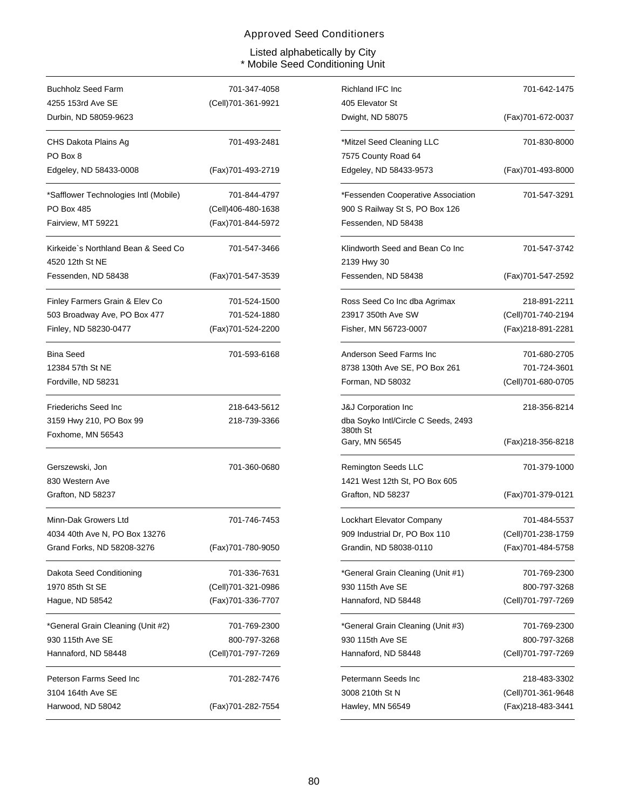| <b>Buchholz Seed Farm</b>                              | 701-347-4058       |
|--------------------------------------------------------|--------------------|
| 4255 153rd Ave SE                                      | (Cell)701-361-9921 |
| Durbin, ND 58059-9623                                  |                    |
| CHS Dakota Plains Ag<br>PO Box 8                       | 701-493-2481       |
| Edgeley, ND 58433-0008                                 | (Fax)701-493-2719  |
| *Safflower Technologies Intl (Mobile)                  | 701-844-4797       |
| PO Box 485                                             | (Cell)406-480-1638 |
| Fairview, MT 59221                                     | (Fax)701-844-5972  |
| Kirkeide`s Northland Bean & Seed Co<br>4520 12th St NE | 701-547-3466       |
| Fessenden, ND 58438                                    | (Fax)701-547-3539  |
| Finley Farmers Grain & Elev Co                         | 701-524-1500       |
| 503 Broadway Ave, PO Box 477                           | 701-524-1880       |
| Finley, ND 58230-0477                                  | (Fax)701-524-2200  |
| <b>Bina Seed</b>                                       | 701-593-6168       |
| 12384 57th St NE                                       |                    |
| Fordville, ND 58231                                    |                    |
| Friederichs Seed Inc                                   | 218-643-5612       |
| 3159 Hwy 210, PO Box 99                                | 218-739-3366       |
| Foxhome, MN 56543                                      |                    |
| Gerszewski, Jon                                        | 701-360-0680       |
| 830 Western Ave                                        |                    |
| Grafton, ND 58237                                      |                    |
| Minn-Dak Growers Ltd                                   | 701-746-7453       |
| 4034 40th Ave N, PO Box 13276                          |                    |
| Grand Forks, ND 58208-3276                             | (Fax)701-780-9050  |
| Dakota Seed Conditioning                               | 701-336-7631       |
| 1970 85th St SE                                        | (Cell)701-321-0986 |
| Hague, ND 58542                                        | (Fax) 701-336-7707 |
| *General Grain Cleaning (Unit #2)                      | 701-769-2300       |
| 930 115th Ave SE                                       | 800-797-3268       |
| Hannaford, ND 58448                                    | (Cell)701-797-7269 |
| Peterson Farms Seed Inc                                | 701-282-7476       |
| 3104 164th Ave SE                                      |                    |
| Harwood, ND 58042                                      | (Fax)701-282-7554  |

| 701-347-4058 | Richland IFC Inc                                | 701-642-1475        |
|--------------|-------------------------------------------------|---------------------|
| 701-361-9921 | 405 Elevator St                                 |                     |
|              | Dwight, ND 58075                                | (Fax)701-672-0037   |
| 701-493-2481 | *Mitzel Seed Cleaning LLC                       | 701-830-8000        |
|              | 7575 County Road 64                             |                     |
| 701-493-2719 | Edgeley, ND 58433-9573                          | (Fax)701-493-8000   |
| 701-844-4797 | *Fessenden Cooperative Association              | 701-547-3291        |
| 406-480-1638 | 900 S Railway St S, PO Box 126                  |                     |
| 701-844-5972 | Fessenden, ND 58438                             |                     |
| 701-547-3466 | Klindworth Seed and Bean Co Inc<br>2139 Hwy 30  | 701-547-3742        |
| 701-547-3539 | Fessenden, ND 58438                             | (Fax)701-547-2592   |
| 701-524-1500 | Ross Seed Co Inc dba Agrimax                    | 218-891-2211        |
| 701-524-1880 | 23917 350th Ave SW                              | (Cell)701-740-2194  |
| 701-524-2200 | Fisher, MN 56723-0007                           | (Fax)218-891-2281   |
| 701-593-6168 | Anderson Seed Farms Inc                         | 701-680-2705        |
|              | 8738 130th Ave SE, PO Box 261                   | 701-724-3601        |
|              | Forman, ND 58032                                | (Cell)701-680-0705  |
| 218-643-5612 | <b>J&amp;J Corporation Inc</b>                  | 218-356-8214        |
| 218-739-3366 | dba Soyko Intl/Circle C Seeds, 2493<br>380th St |                     |
|              | Gary, MN 56545                                  | (Fax)218-356-8218   |
| 701-360-0680 | <b>Remington Seeds LLC</b>                      | 701-379-1000        |
|              | 1421 West 12th St, PO Box 605                   |                     |
|              | Grafton, ND 58237                               | (Fax)701-379-0121   |
| 701-746-7453 | Lockhart Elevator Company                       | 701-484-5537        |
|              | 909 Industrial Dr, PO Box 110                   | (Cell) 701-238-1759 |
| 701-780-9050 | Grandin, ND 58038-0110                          | (Fax) 701-484-5758  |
| 701-336-7631 | *General Grain Cleaning (Unit #1)               | 701-769-2300        |
| 701-321-0986 | 930 115th Ave SE                                | 800-797-3268        |
| 701-336-7707 | Hannaford, ND 58448                             | (Cell)701-797-7269  |
| 701-769-2300 | *General Grain Cleaning (Unit #3)               | 701-769-2300        |
| 800-797-3268 | 930 115th Ave SE                                | 800-797-3268        |
| 701-797-7269 | Hannaford, ND 58448                             | (Cell)701-797-7269  |
| 701-282-7476 | Petermann Seeds Inc                             | 218-483-3302        |
|              | 3008 210th St N                                 | (Cell)701-361-9648  |
| 701-282-7554 | Hawley, MN 56549                                | (Fax)218-483-3441   |
|              |                                                 |                     |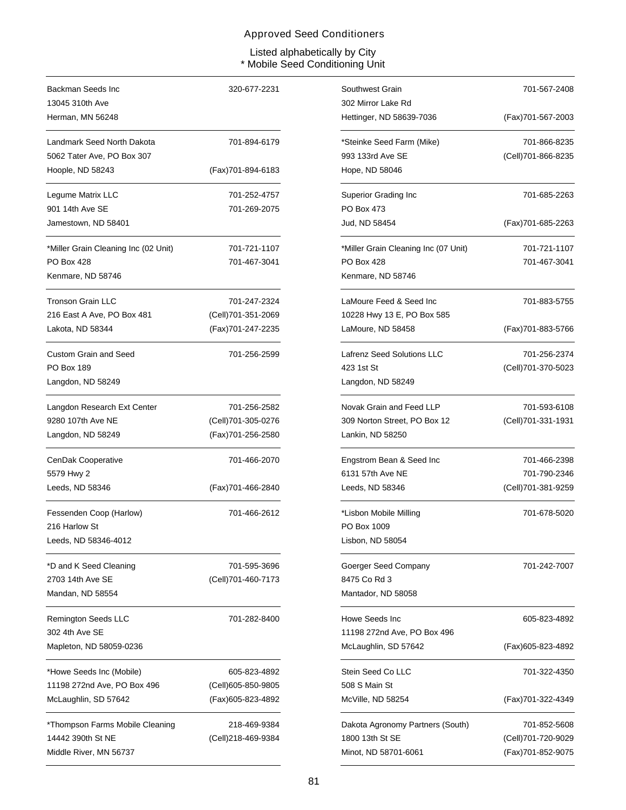| Backman Seeds Inc                    | 320-677-2231       |
|--------------------------------------|--------------------|
| 13045 310th Ave                      |                    |
| Herman, MN 56248                     |                    |
| Landmark Seed North Dakota           | 701-894-6179       |
| 5062 Tater Ave, PO Box 307           |                    |
| Hoople, ND 58243                     | (Fax)701-894-6183  |
| Legume Matrix LLC                    | 701-252-4757       |
| 901 14th Ave SE                      | 701-269-2075       |
| Jamestown, ND 58401                  |                    |
| *Miller Grain Cleaning Inc (02 Unit) | 701-721-1107       |
| <b>PO Box 428</b>                    | 701-467-3041       |
| Kenmare, ND 58746                    |                    |
| Tronson Grain LLC                    | 701-247-2324       |
| 216 East A Ave, PO Box 481           | (Cell)701-351-2069 |
| Lakota, ND 58344                     | (Fax)701-247-2235  |
| <b>Custom Grain and Seed</b>         | 701-256-2599       |
| PO Box 189                           |                    |
| Langdon, ND 58249                    |                    |
| Langdon Research Ext Center          | 701-256-2582       |
| 9280 107th Ave NE                    | (Cell)701-305-0276 |
| Langdon, ND 58249                    | (Fax)701-256-2580  |
| CenDak Cooperative                   | 701-466-2070       |
| 5579 Hwy 2                           |                    |
| Leeds, ND 58346                      | (Fax)701-466-2840  |
| Fessenden Coop (Harlow)              | 701-466-2612       |
| 216 Harlow St                        |                    |
| Leeds, ND 58346-4012                 |                    |
| *D and K Seed Cleaning               | 701-595-3696       |
| 2703 14th Ave SE                     | (Cell)701-460-7173 |
| Mandan, ND 58554                     |                    |
| Remington Seeds LLC                  | 701-282-8400       |
| 302 4th Ave SE                       |                    |
| Mapleton, ND 58059-0236              |                    |
| *Howe Seeds Inc (Mobile)             | 605-823-4892       |
| 11198 272nd Ave, PO Box 496          | (Cell)605-850-9805 |
| McLaughlin, SD 57642                 | (Fax)605-823-4892  |
| *Thompson Farms Mobile Cleaning      | 218-469-9384       |
| 14442 390th St NE                    | (Cell)218-469-9384 |
| Middle River, MN 56737               |                    |

| 320-677-2231 | Southwest Grain                      | 701-567-2408        |
|--------------|--------------------------------------|---------------------|
|              | 302 Mirror Lake Rd                   |                     |
|              | Hettinger, ND 58639-7036             | (Fax)701-567-2003   |
| 701-894-6179 | *Steinke Seed Farm (Mike)            | 701-866-8235        |
|              | 993 133rd Ave SE                     | (Cell)701-866-8235  |
| 701-894-6183 | Hope, ND 58046                       |                     |
| 701-252-4757 | <b>Superior Grading Inc</b>          | 701-685-2263        |
| 701-269-2075 | PO Box 473                           |                     |
|              | Jud, ND 58454                        | (Fax)701-685-2263   |
| 701-721-1107 | *Miller Grain Cleaning Inc (07 Unit) | 701-721-1107        |
| 701-467-3041 | PO Box 428                           | 701-467-3041        |
|              | Kenmare, ND 58746                    |                     |
| 701-247-2324 | LaMoure Feed & Seed Inc              | 701-883-5755        |
| 701-351-2069 | 10228 Hwy 13 E, PO Box 585           |                     |
| 701-247-2235 | LaMoure, ND 58458                    | (Fax)701-883-5766   |
| 701-256-2599 | Lafrenz Seed Solutions LLC           | 701-256-2374        |
|              | 423 1st St                           | (Cell)701-370-5023  |
|              | Langdon, ND 58249                    |                     |
| 701-256-2582 | Novak Grain and Feed LLP             | 701-593-6108        |
| 701-305-0276 | 309 Norton Street, PO Box 12         | (Cell) 701-331-1931 |
| 701-256-2580 | Lankin, ND 58250                     |                     |
| 701-466-2070 | Engstrom Bean & Seed Inc             | 701-466-2398        |
|              | 6131 57th Ave NE                     | 701-790-2346        |
| 701-466-2840 | Leeds, ND 58346                      | (Cell)701-381-9259  |
| 701-466-2612 | *Lisbon Mobile Milling               | 701-678-5020        |
|              | PO Box 1009                          |                     |
|              | Lisbon, ND 58054                     |                     |
| 701-595-3696 | Goerger Seed Company                 | 701-242-7007        |
| 701-460-7173 | 8475 Co Rd 3                         |                     |
|              | Mantador, ND 58058                   |                     |
| 701-282-8400 | Howe Seeds Inc                       | 605-823-4892        |
|              | 11198 272nd Ave, PO Box 496          |                     |
|              | McLaughlin, SD 57642                 | (Fax)605-823-4892   |
| 605-823-4892 | Stein Seed Co LLC                    | 701-322-4350        |
| 605-850-9805 | 508 S Main St                        |                     |
| 605-823-4892 | McVille, ND 58254                    | (Fax)701-322-4349   |
| 218-469-9384 | Dakota Agronomy Partners (South)     | 701-852-5608        |
| 218-469-9384 | 1800 13th St SE                      | (Cell)701-720-9029  |
|              | Minot, ND 58701-6061                 | (Fax)701-852-9075   |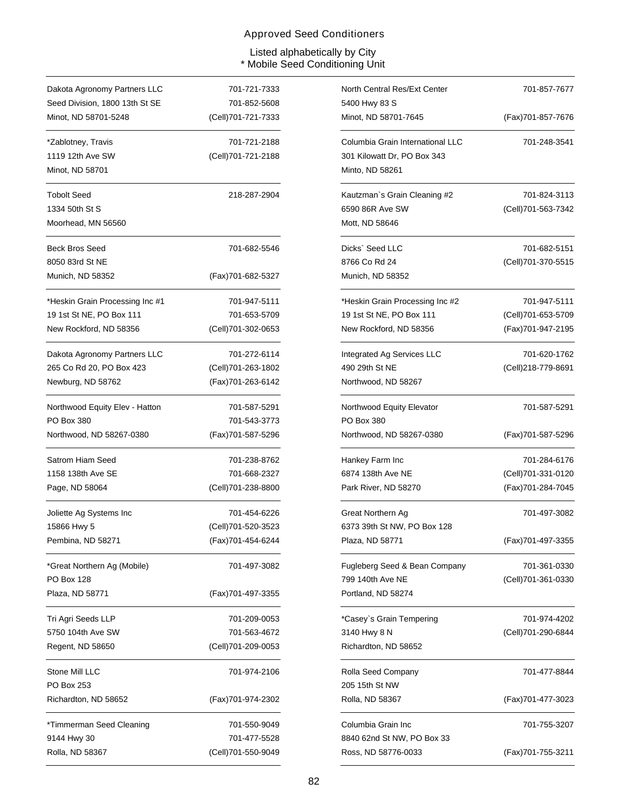| Dakota Agronomy Partners LLC    | 701-721-7333       |
|---------------------------------|--------------------|
| Seed Division, 1800 13th St SE  | 701-852-5608       |
| Minot, ND 58701-5248            | (Cell)701-721-7333 |
| *Zablotney, Travis              | 701-721-2188       |
| 1119 12th Ave SW                | (Cell)701-721-2188 |
| Minot, ND 58701                 |                    |
| Tobolt Seed                     | 218-287-2904       |
| 1334 50th St S                  |                    |
| Moorhead, MN 56560              |                    |
| <b>Beck Bros Seed</b>           | 701-682-5546       |
| 8050 83rd St NE                 |                    |
| Munich, ND 58352                | (Fax)701-682-5327  |
| *Heskin Grain Processing Inc #1 | 701-947-5111       |
| 19 1st St NE, PO Box 111        | 701-653-5709       |
| New Rockford, ND 58356          | (Cell)701-302-0653 |
| Dakota Agronomy Partners LLC    | 701-272-6114       |
| 265 Co Rd 20, PO Box 423        | (Cell)701-263-1802 |
| Newburg, ND 58762               | (Fax)701-263-6142  |
| Northwood Equity Elev - Hatton  | 701-587-5291       |
| PO Box 380                      | 701-543-3773       |
| Northwood, ND 58267-0380        | (Fax)701-587-5296  |
|                                 |                    |
| Satrom Hiam Seed                | 701-238-8762       |
| 1158 138th Ave SE               | 701-668-2327       |
| Page, ND 58064                  | (Cell)701-238-8800 |
| Joliette Ag Systems Inc         | 701-454-6226       |
| 15866 Hwy 5                     | (Cell)701-520-3523 |
| Pembina, ND 58271               | (Fax)701-454-6244  |
| *Great Northern Ag (Mobile)     | 701-497-3082       |
| <b>PO Box 128</b>               |                    |
| Plaza, ND 58771                 | (Fax)701-497-3355  |
| Tri Agri Seeds LLP              | 701-209-0053       |
| 5750 104th Ave SW               | 701-563-4672       |
| Regent, ND 58650                | (Cell)701-209-0053 |
| Stone Mill LLC                  | 701-974-2106       |
| <b>PO Box 253</b>               |                    |
| Richardton, ND 58652            | (Fax)701-974-2302  |
| *Timmerman Seed Cleaning        | 701-550-9049       |
| 9144 Hwy 30                     | 701-477-5528       |

| 701-721-7333 | North Central Res/Ext Center     | 701-857-7677       |
|--------------|----------------------------------|--------------------|
| 701-852-5608 | 5400 Hwy 83 S                    |                    |
| 701-721-7333 | Minot, ND 58701-7645             | (Fax)701-857-7676  |
| 701-721-2188 | Columbia Grain International LLC | 701-248-3541       |
| 701-721-2188 | 301 Kilowatt Dr, PO Box 343      |                    |
|              | Minto, ND 58261                  |                    |
| 218-287-2904 | Kautzman's Grain Cleaning #2     | 701-824-3113       |
|              | 6590 86R Ave SW                  | (Cell)701-563-7342 |
|              | Mott, ND 58646                   |                    |
| 701-682-5546 | Dicks` Seed LLC                  | 701-682-5151       |
|              | 8766 Co Rd 24                    | (Cell)701-370-5515 |
| 701-682-5327 | Munich, ND 58352                 |                    |
| 701-947-5111 | *Heskin Grain Processing Inc #2  | 701-947-5111       |
| 701-653-5709 | 19 1st St NE, PO Box 111         | (Cell)701-653-5709 |
| 701-302-0653 | New Rockford, ND 58356           | (Fax)701-947-2195  |
| 701-272-6114 | Integrated Ag Services LLC       | 701-620-1762       |
| 701-263-1802 | 490 29th St NE                   | (Cell)218-779-8691 |
| 701-263-6142 | Northwood, ND 58267              |                    |
| 701-587-5291 | Northwood Equity Elevator        | 701-587-5291       |
| 701-543-3773 | PO Box 380                       |                    |
| 701-587-5296 | Northwood, ND 58267-0380         | (Fax)701-587-5296  |
| 701-238-8762 | Hankey Farm Inc                  | 701-284-6176       |
| 701-668-2327 | 6874 138th Ave NE                | (Cell)701-331-0120 |
| 701-238-8800 | Park River, ND 58270             | (Fax)701-284-7045  |
| 701-454-6226 | Great Northern Ag                | 701-497-3082       |
| 701-520-3523 | 6373 39th St NW, PO Box 128      |                    |
| 701-454-6244 | Plaza, ND 58771                  | (Fax)701-497-3355  |
| 701-497-3082 | Fugleberg Seed & Bean Company    | 701-361-0330       |
|              | 799 140th Ave NE                 | (Cell)701-361-0330 |
| 701-497-3355 | Portland, ND 58274               |                    |
| 701-209-0053 | *Casey`s Grain Tempering         | 701-974-4202       |
| 701-563-4672 | 3140 Hwy 8 N                     | (Cell)701-290-6844 |
| 701-209-0053 | Richardton, ND 58652             |                    |
| 701-974-2106 | Rolla Seed Company               | 701-477-8844       |
|              | 205 15th St NW                   |                    |
| 701-974-2302 | Rolla, ND 58367                  | (Fax)701-477-3023  |
| 701-550-9049 | Columbia Grain Inc               | 701-755-3207       |
| 701-477-5528 | 8840 62nd St NW, PO Box 33       |                    |
| 701-550-9049 | Ross, ND 58776-0033              | (Fax)701-755-3211  |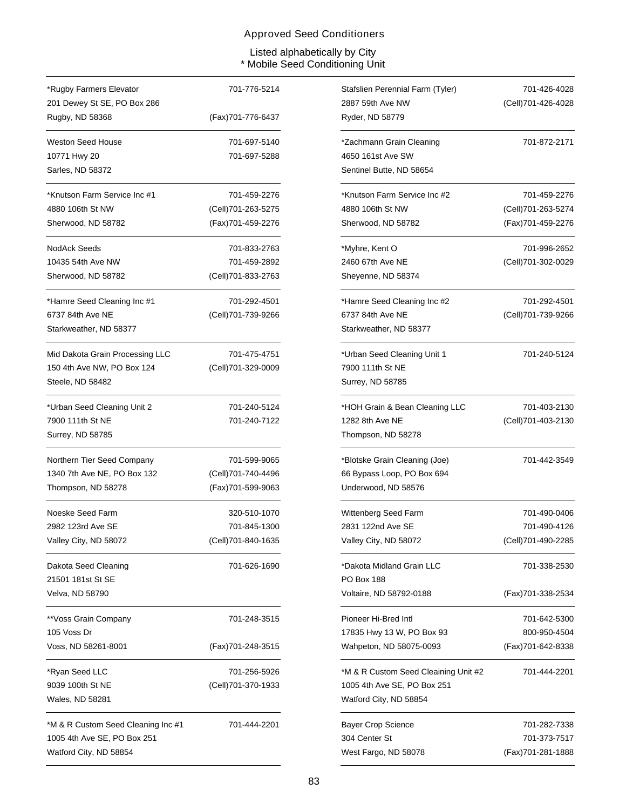| *Rugby Farmers Elevator                                                                     | 701-776-5214       |
|---------------------------------------------------------------------------------------------|--------------------|
| 201 Dewey St SE, PO Box 286                                                                 |                    |
| Rugby, ND 58368                                                                             | (Fax)701-776-6437  |
| Weston Seed House                                                                           | 701-697-5140       |
| 10771 Hwy 20                                                                                | 701-697-5288       |
| Sarles, ND 58372                                                                            |                    |
| *Knutson Farm Service Inc #1                                                                | 701-459-2276       |
| 4880 106th St NW                                                                            | (Cell)701-263-5275 |
| Sherwood, ND 58782                                                                          | (Fax)701-459-2276  |
| NodAck Seeds                                                                                | 701-833-2763       |
| 10435 54th Ave NW                                                                           | 701-459-2892       |
| Sherwood, ND 58782                                                                          | (Cell)701-833-2763 |
| *Hamre Seed Cleaning Inc #1                                                                 | 701-292-4501       |
| 6737 84th Ave NE                                                                            | (Cell)701-739-9266 |
| Starkweather, ND 58377                                                                      |                    |
| Mid Dakota Grain Processing LLC                                                             | 701-475-4751       |
| 150 4th Ave NW, PO Box 124                                                                  | (Cell)701-329-0009 |
| Steele, ND 58482                                                                            |                    |
| *Urban Seed Cleaning Unit 2                                                                 | 701-240-5124       |
| 7900 111th St NE                                                                            | 701-240-7122       |
| Surrey, ND 58785                                                                            |                    |
| Northern Tier Seed Company                                                                  | 701-599-9065       |
| 1340 7th Ave NE, PO Box 132                                                                 | (Cell)701-740-4496 |
| Thompson, ND 58278                                                                          | (Fax)701-599-9063  |
| Noeske Seed Farm                                                                            | 320-510-1070       |
| 2982 123rd Ave SE                                                                           | 701-845-1300       |
| Valley City, ND 58072                                                                       | (Cell)701-840-1635 |
| Dakota Seed Cleaning                                                                        | 701-626-1690       |
| 21501 181st St SE                                                                           |                    |
| Velva, ND 58790                                                                             |                    |
| **Voss Grain Company                                                                        | 701-248-3515       |
| 105 Voss Dr                                                                                 |                    |
| Voss, ND 58261-8001                                                                         | (Fax)701-248-3515  |
| *Ryan Seed LLC                                                                              | 701-256-5926       |
| 9039 100th St NE                                                                            | (Cell)701-370-1933 |
| Wales, ND 58281                                                                             |                    |
| *M & R Custom Seed Cleaning Inc #1<br>1005 4th Ave SE, PO Box 251<br>Watford City, ND 58854 | 701-444-2201       |

| 701-776-5214 | Stafslien Perennial Farm (Tyler)     | 701-426-4028       |
|--------------|--------------------------------------|--------------------|
|              | 2887 59th Ave NW                     | (Cell)701-426-4028 |
| 701-776-6437 | Ryder, ND 58779                      |                    |
| 701-697-5140 | *Zachmann Grain Cleaning             | 701-872-2171       |
| 701-697-5288 | 4650 161st Ave SW                    |                    |
|              | Sentinel Butte, ND 58654             |                    |
| 701-459-2276 | *Knutson Farm Service Inc #2         | 701-459-2276       |
| 701-263-5275 | 4880 106th St NW                     | (Cell)701-263-5274 |
| 701-459-2276 | Sherwood, ND 58782                   | (Fax)701-459-2276  |
| 701-833-2763 | *Myhre, Kent O                       | 701-996-2652       |
| 701-459-2892 | 2460 67th Ave NE                     | (Cell)701-302-0029 |
| 701-833-2763 | Sheyenne, ND 58374                   |                    |
| 701-292-4501 | *Hamre Seed Cleaning Inc #2          | 701-292-4501       |
| 701-739-9266 | 6737 84th Ave NE                     | (Cell)701-739-9266 |
|              | Starkweather, ND 58377               |                    |
| 701-475-4751 | *Urban Seed Cleaning Unit 1          | 701-240-5124       |
| 701-329-0009 | 7900 111th St NE                     |                    |
|              | Surrey, ND 58785                     |                    |
| 701-240-5124 | *HOH Grain & Bean Cleaning LLC       | 701-403-2130       |
| 701-240-7122 | 1282 8th Ave NE                      | (Cell)701-403-2130 |
|              | Thompson, ND 58278                   |                    |
| 701-599-9065 | *Blotske Grain Cleaning (Joe)        | 701-442-3549       |
| 701-740-4496 | 66 Bypass Loop, PO Box 694           |                    |
| 701-599-9063 | Underwood, ND 58576                  |                    |
| 320-510-1070 | Wittenberg Seed Farm                 | 701-490-0406       |
| 701-845-1300 | 2831 122nd Ave SE                    | 701-490-4126       |
| 701-840-1635 | Valley City, ND 58072                | (Cell)701-490-2285 |
| 701-626-1690 | *Dakota Midland Grain LLC            | 701-338-2530       |
|              | <b>PO Box 188</b>                    |                    |
|              | Voltaire, ND 58792-0188              | (Fax)701-338-2534  |
| 701-248-3515 | Pioneer Hi-Bred Intl                 | 701-642-5300       |
|              | 17835 Hwy 13 W, PO Box 93            | 800-950-4504       |
| 701-248-3515 | Wahpeton, ND 58075-0093              | (Fax)701-642-8338  |
| 701-256-5926 | *M & R Custom Seed Cleaining Unit #2 | 701-444-2201       |
| 701-370-1933 | 1005 4th Ave SE, PO Box 251          |                    |
|              | Watford City, ND 58854               |                    |
| 701-444-2201 | <b>Bayer Crop Science</b>            | 701-282-7338       |
|              | 304 Center St                        | 701-373-7517       |
|              | West Fargo, ND 58078                 | (Fax) 701-281-1888 |